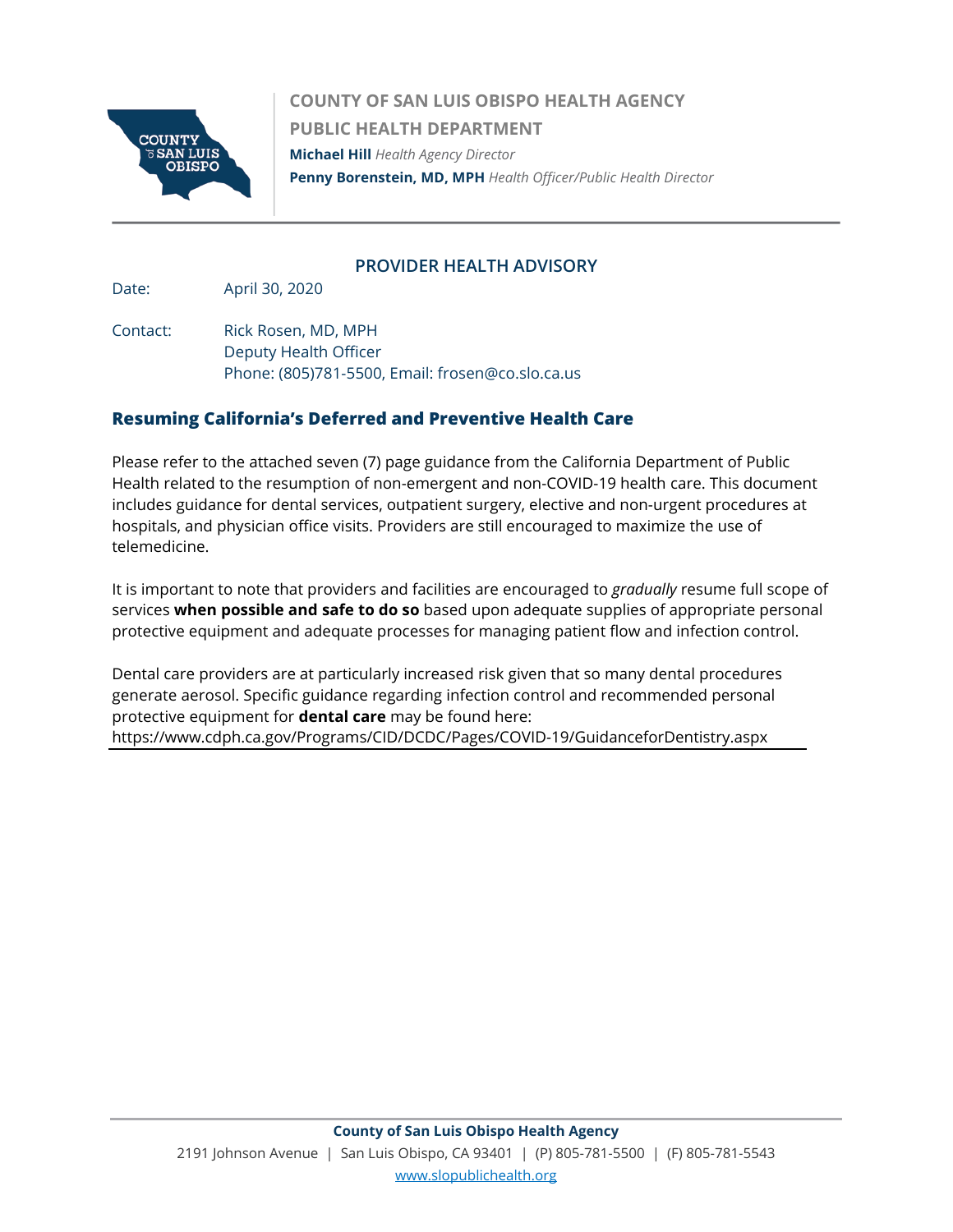

**COUNTY OF SAN LUIS OBISPO HEALTH AGENCY PUBLIC HEALTH DEPARTMENT Michael Hill** *Health Agency Director*  **Penny Borenstein, MD, MPH** *Health Officer/Public Health Director*

### **PROVIDER HEALTH ADVISORY**

Date: April 30, 2020

Contact: Rick Rosen, MD, MPH Deputy Health Officer Phone: (805)781-5500, Email: frosen@co.slo.ca.us

### **Resuming California's Deferred and Preventive Health Care**

Please refer to the attached seven (7) page guidance from the California Department of Public Health related to the resumption of non-emergent and non-COVID-19 health care. This document includes guidance for dental services, outpatient surgery, elective and non-urgent procedures at hospitals, and physician office visits. Providers are still encouraged to maximize the use of telemedicine.

It is important to note that providers and facilities are encouraged to *gradually* resume full scope of services **when possible and safe to do so** based upon adequate supplies of appropriate personal protective equipment and adequate processes for managing patient flow and infection control.

Dental care providers are at particularly increased risk given that so many dental procedures generate aerosol. Specific guidance regarding infection control and recommended personal protective equipment for **dental care** may be found here:

<https://www.cdph.ca.gov/Programs/CID/DCDC/Pages/COVID-19/GuidanceforDentistry.aspx>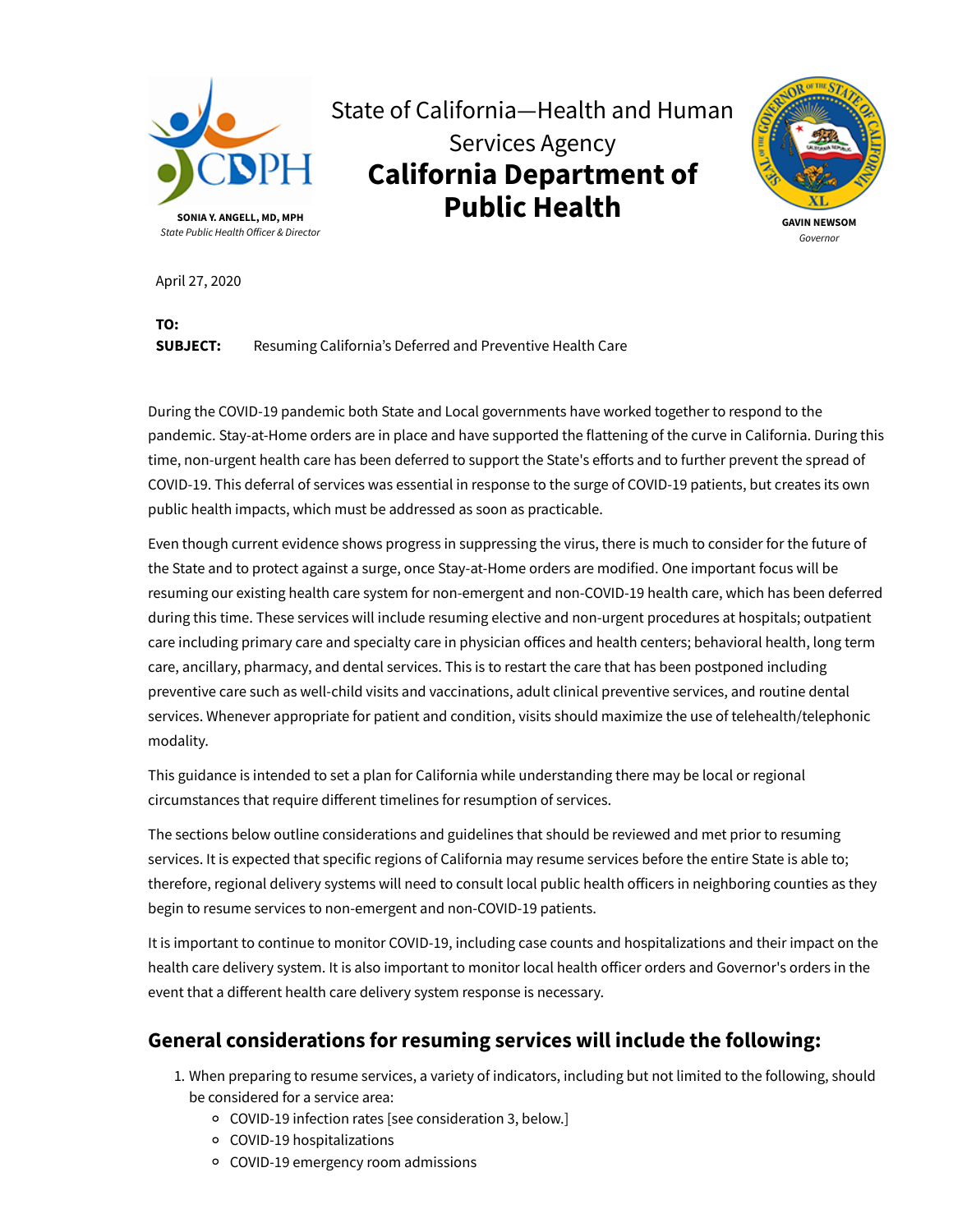

# State of California—Health and Human Services Agency **California Department of Public Health**



April 27, 2020

**TO:**

**SUBJECT:** Resuming California's Deferred and Preventive Health Care

During the COVID-19 pandemic both State and Local governments have worked together to respond to the pandemic. Stay-at-Home orders are in place and have supported the flattening of the curve in California. During this time, non-urgent health care has been deferred to support the State's efforts and to further prevent the spread of COVID-19. This deferral of services was essential in response to the surge of COVID-19 patients, but creates its own public health impacts, which must be addressed as soon as practicable.

Even though current evidence shows progress in suppressing the virus, there is much to consider for the future of the State and to protect against a surge, once Stay-at-Home orders are modified. One important focus will be resuming our existing health care system for non-emergent and non-COVID-19 health care, which has been deferred during this time. These services will include resuming elective and non-urgent procedures at hospitals; outpatient care including primary care and specialty care in physician offices and health centers; behavioral health, long term care, ancillary, pharmacy, and dental services. This is to restart the care that has been postponed including preventive care such as well-child visits and vaccinations, adult clinical preventive services, and routine dental services. Whenever appropriate for patient and condition, visits should maximize the use of telehealth/telephonic modality.

This guidance is intended to set a plan for California while understanding there may be local or regional circumstances that require different timelines for resumption of services.

The sections below outline considerations and guidelines that should be reviewed and met prior to resuming services. It is expected that specific regions of California may resume services before the entire State is able to; therefore, regional delivery systems will need to consult local public health officers in neighboring counties as they begin to resume services to non-emergent and non-COVID-19 patients.

It is important to continue to monitor COVID-19, including case counts and hospitalizations and their impact on the health care delivery system. It is also important to monitor local health officer orders and Governor's orders in the event that a different health care delivery system response is necessary.

### **General considerations for resuming services will include the following:**

- 1. When preparing to resume services, a variety of indicators, including but not limited to the following, should be considered for a service area:
	- COVID-19 infection rates [see consideration 3, below.]
	- COVID-19 hospitalizations
	- COVID-19 emergency room admissions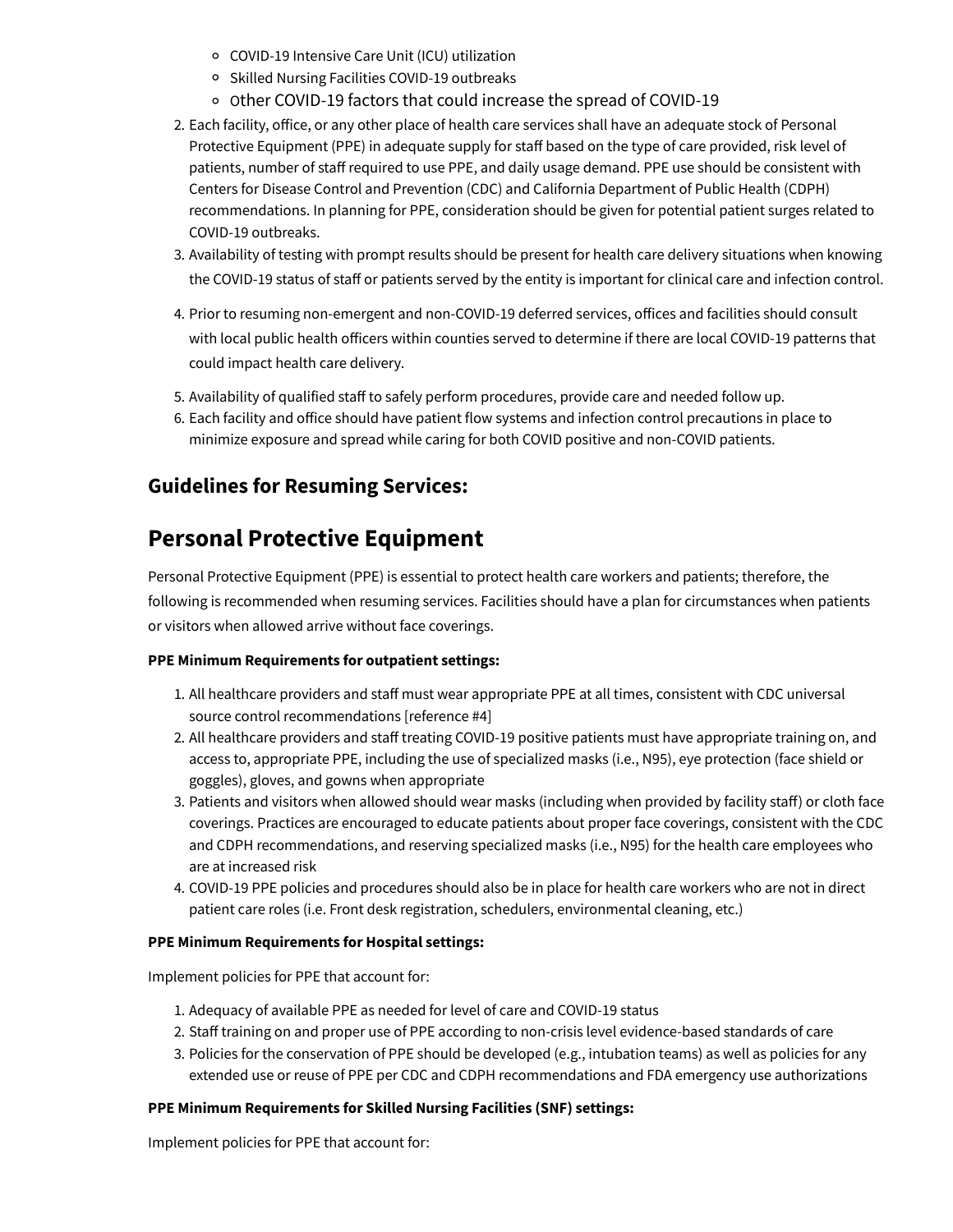- COVID-19 Intensive Care Unit (ICU) utilization
- o Skilled Nursing Facilities COVID-19 outbreaks
- o Other COVID-19 factors that could increase the spread of COVID-19
- 2. Each facility, office, or any other place of health care services shall have an adequate stock of Personal Protective Equipment (PPE) in adequate supply for staff based on the type of care provided, risk level of patients, number of staff required to use PPE, and daily usage demand. PPE use should be consistent with Centers for Disease Control and Prevention (CDC) and California Department of Public Health (CDPH) recommendations. In planning for PPE, consideration should be given for potential patient surges related to COVID-19 outbreaks.
- 3. Availability of testing with prompt results should be present for health care delivery situations when knowing the COVID-19 status of staff or patients served by the entity is important for clinical care and infection control.
- 4. Prior to resuming non-emergent and non-COVID-19 deferred services, offices and facilities should consult with local public health officers within counties served to determine if there are local COVID-19 patterns that could impact health care delivery.
- 5. Availability of qualified staff to safely perform procedures, provide care and needed follow up.
- 6. Each facility and office should have patient flow systems and infection control precautions in place to minimize exposure and spread while caring for both COVID positive and non-COVID patients.

### **Guidelines for Resuming Services:**

### **Personal Protective Equipment**

Personal Protective Equipment (PPE) is essential to protect health care workers and patients; therefore, the following is recommended when resuming services. Facilities should have a plan for circumstances when patients or visitors when allowed arrive without face coverings.

### **PPE Minimum Requirements for outpatient settings:**

- 1. All healthcare providers and staff must wear appropriate PPE at all times, consistent with CDC universal source control recommendations [reference #4]
- 2. All healthcare providers and staff treating COVID-19 positive patients must have appropriate training on, and access to, appropriate PPE, including the use of specialized masks (i.e., N95), eye protection (face shield or goggles), gloves, and gowns when appropriate
- 3. Patients and visitors when allowed should wear masks (including when provided by facility staff) or cloth face coverings. Practices are encouraged to educate patients about proper face coverings, consistent with the CDC and CDPH recommendations, and reserving specialized masks (i.e., N95) for the health care employees who are at increased risk
- 4. COVID-19 PPE policies and procedures should also be in place for health care workers who are not in direct patient care roles (i.e. Front desk registration, schedulers, environmental cleaning, etc.)

### **PPE Minimum Requirements for Hospital settings:**

Implement policies for PPE that account for:

- 1. Adequacy of available PPE as needed for level of care and COVID-19 status
- 2. Staff training on and proper use of PPE according to non-crisis level evidence-based standards of care
- 3. Policies for the conservation of PPE should be developed (e.g., intubation teams) as well as policies for any extended use or reuse of PPE per CDC and CDPH recommendations and FDA emergency use authorizations

### **PPE Minimum Requirements for Skilled Nursing Facilities (SNF) settings:**

Implement policies for PPE that account for: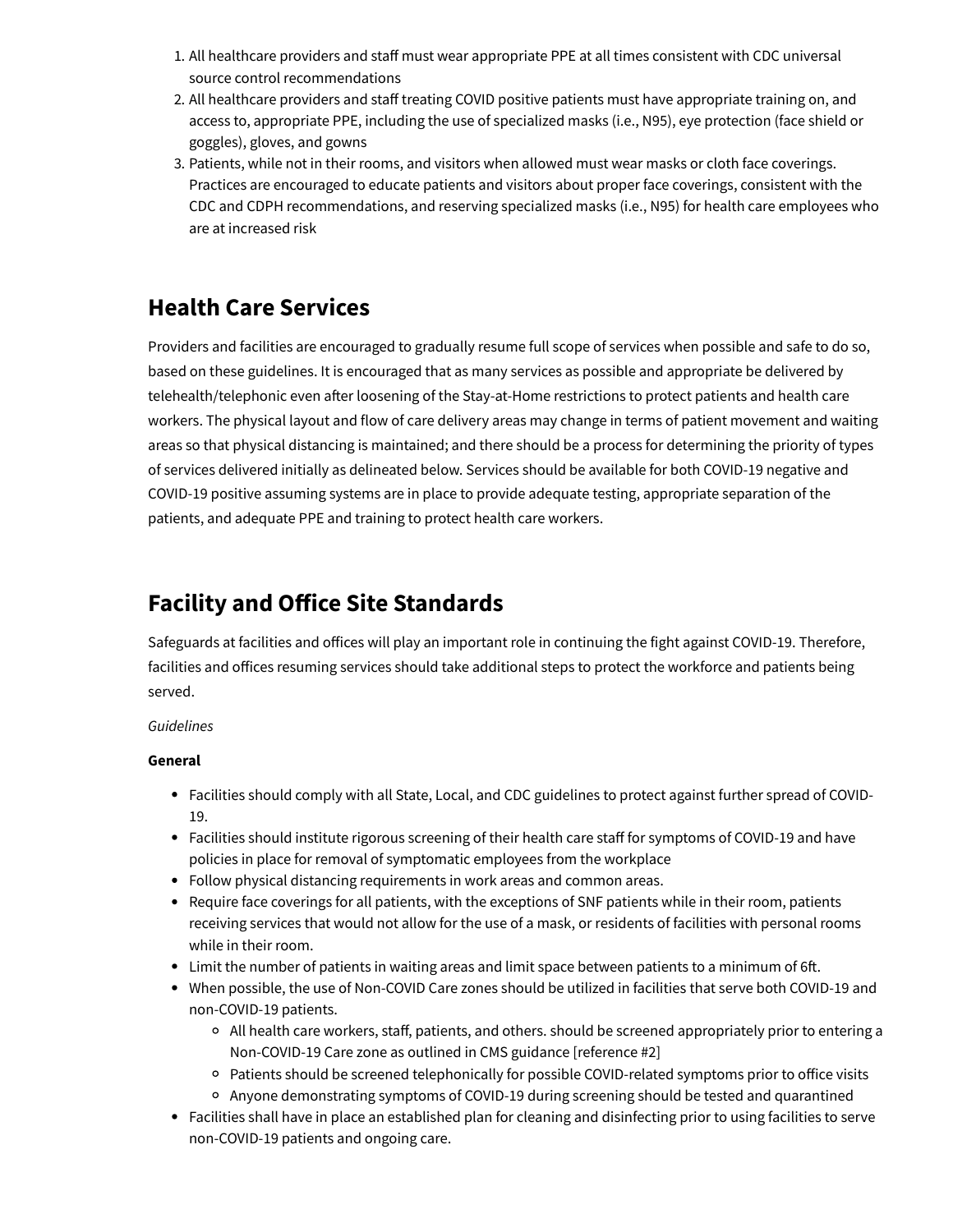- 1. All healthcare providers and staff must wear appropriate PPE at all times consistent with CDC universal source control recommendations
- 2. All healthcare providers and staff treating COVID positive patients must have appropriate training on, and access to, appropriate PPE, including the use of specialized masks (i.e., N95), eye protection (face shield or goggles), gloves, and gowns
- 3. Patients, while not in their rooms, and visitors when allowed must wear masks or cloth face coverings. Practices are encouraged to educate patients and visitors about proper face coverings, consistent with the CDC and CDPH recommendations, and reserving specialized masks (i.e., N95) for health care employees who are at increased risk

### **Health Care Services**

Providers and facilities are encouraged to gradually resume full scope of services when possible and safe to do so, based on these guidelines. It is encouraged that as many services as possible and appropriate be delivered by telehealth/telephonic even after loosening of the Stay-at-Home restrictions to protect patients and health care workers. The physical layout and flow of care delivery areas may change in terms of patient movement and waiting areas so that physical distancing is maintained; and there should be a process for determining the priority of types of services delivered initially as delineated below. Services should be available for both COVID-19 negative and COVID-19 positive assuming systems are in place to provide adequate testing, appropriate separation of the patients, and adequate PPE and training to protect health care workers.

### **Facility and Office Site Standards**

Safeguards at facilities and offices will play an important role in continuing the fight against COVID-19. Therefore, facilities and offices resuming services should take additional steps to protect the workforce and patients being served.

### *Guidelines*

### **General**

- Facilities should comply with all State, Local, and CDC guidelines to protect against further spread of COVID-19.
- Facilities should institute rigorous screening of their health care staff for symptoms of COVID-19 and have policies in place for removal of symptomatic employees from the workplace
- Follow physical distancing requirements in work areas and common areas.
- Require face coverings for all patients, with the exceptions of SNF patients while in their room, patients receiving services that would not allow for the use of a mask, or residents of facilities with personal rooms while in their room.
- Limit the number of patients in waiting areas and limit space between patients to a minimum of 6ft.
- When possible, the use of Non-COVID Care zones should be utilized in facilities that serve both COVID-19 and non-COVID-19 patients.
	- <sup>o</sup> All health care workers, staff, patients, and others. should be screened appropriately prior to entering a Non-COVID-19 Care zone as outlined in CMS guidance [reference #2]
	- Patients should be screened telephonically for possible COVID-related symptoms prior to office visits
	- Anyone demonstrating symptoms of COVID-19 during screening should be tested and quarantined
- Facilities shall have in place an established plan for cleaning and disinfecting prior to using facilities to serve non-COVID-19 patients and ongoing care.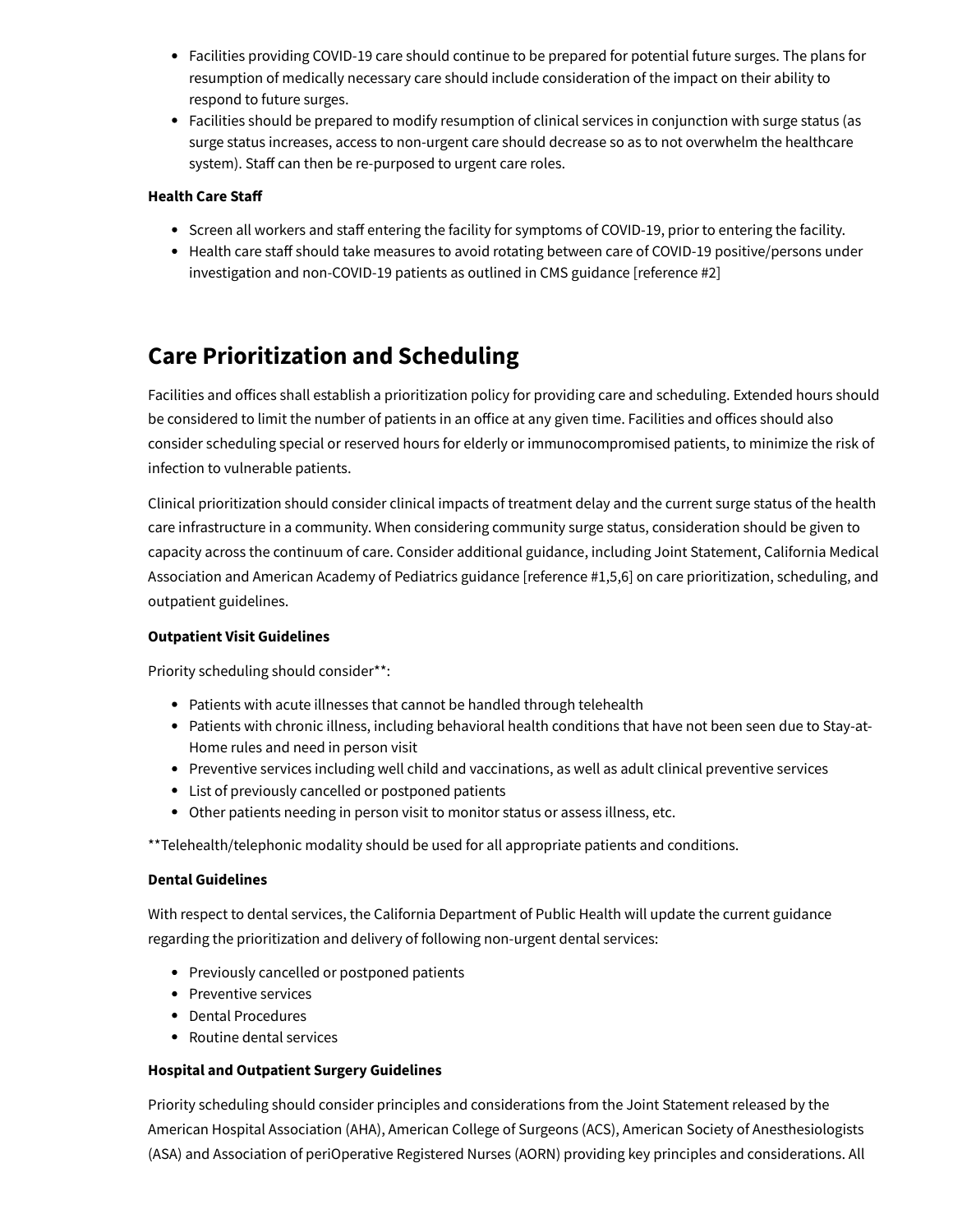- Facilities providing COVID-19 care should continue to be prepared for potential future surges. The plans for resumption of medically necessary care should include consideration of the impact on their ability to respond to future surges.
- Facilities should be prepared to modify resumption of clinical services in conjunction with surge status (as surge status increases, access to non-urgent care should decrease so as to not overwhelm the healthcare system). Staff can then be re-purposed to urgent care roles.

### **Health Care Sta**

- Screen all workers and staff entering the facility for symptoms of COVID-19, prior to entering the facility.
- Health care staff should take measures to avoid rotating between care of COVID-19 positive/persons under investigation and non-COVID-19 patients as outlined in CMS guidance [reference #2]

## **Care Prioritization and Scheduling**

Facilities and offices shall establish a prioritization policy for providing care and scheduling. Extended hours should be considered to limit the number of patients in an office at any given time. Facilities and offices should also consider scheduling special or reserved hours for elderly or immunocompromised patients, to minimize the risk of infection to vulnerable patients.

Clinical prioritization should consider clinical impacts of treatment delay and the current surge status of the health care infrastructure in a community. When considering community surge status, consideration should be given to capacity across the continuum of care. Consider additional guidance, including Joint Statement, California Medical Association and American Academy of Pediatrics guidance [reference #1,5,6] on care prioritization, scheduling, and outpatient guidelines.

### **Outpatient Visit Guidelines**

Priority scheduling should consider\*\*:

- Patients with acute illnesses that cannot be handled through telehealth
- Patients with chronic illness, including behavioral health conditions that have not been seen due to Stay-at-Home rules and need in person visit
- Preventive services including well child and vaccinations, as well as adult clinical preventive services
- List of previously cancelled or postponed patients
- Other patients needing in person visit to monitor status or assess illness, etc.

\*\*Telehealth/telephonic modality should be used for all appropriate patients and conditions.

### **Dental Guidelines**

With respect to dental services, the California Department of Public Health will update the current guidance regarding the prioritization and delivery of following non-urgent dental services:

- Previously cancelled or postponed patients
- Preventive services
- Dental Procedures
- Routine dental services

### **Hospital and Outpatient Surgery Guidelines**

Priority scheduling should consider principles and considerations from the Joint Statement released by the American Hospital Association (AHA), American College of Surgeons (ACS), American Society of Anesthesiologists (ASA) and Association of periOperative Registered Nurses (AORN) providing key principles and considerations. All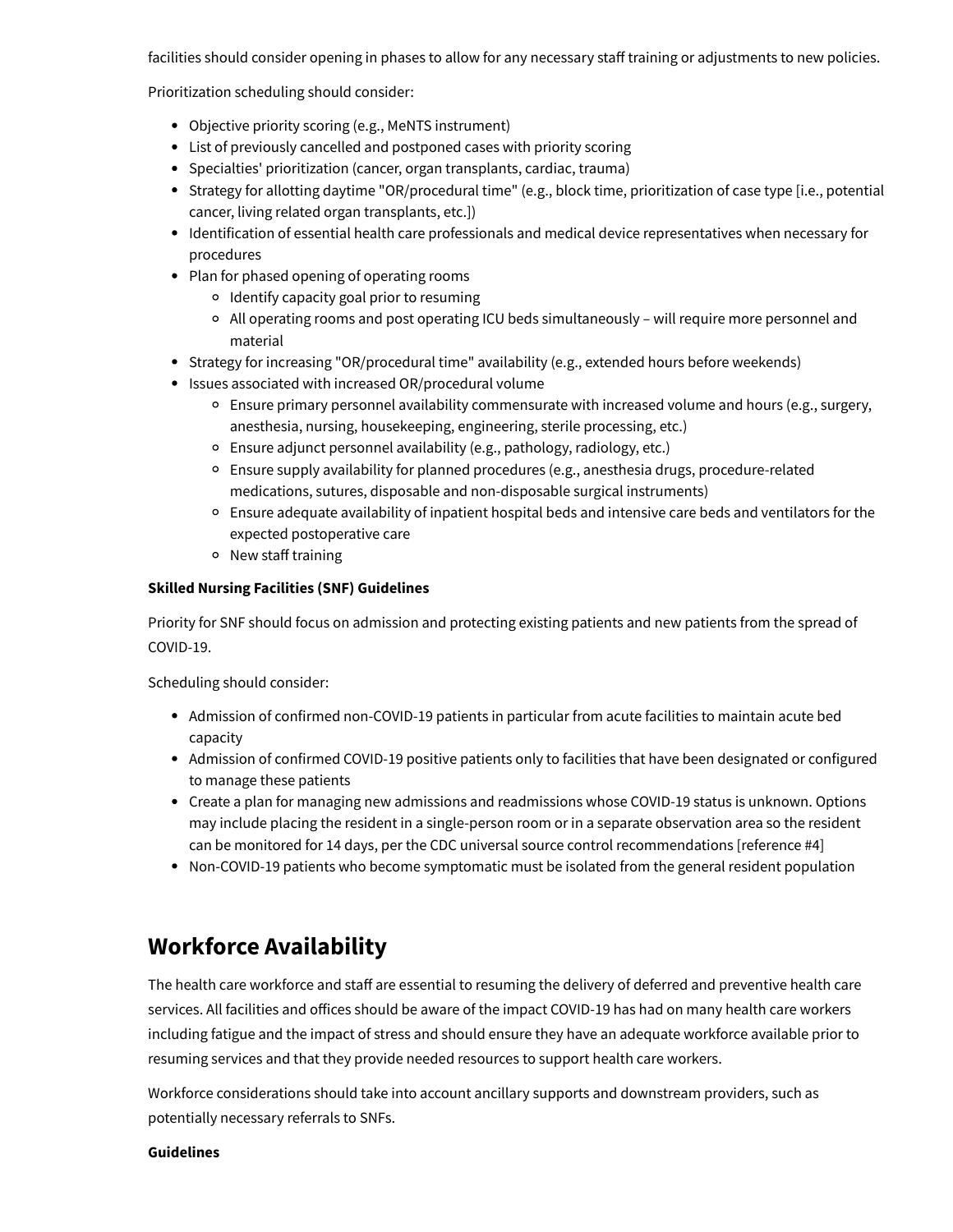facilities should consider opening in phases to allow for any necessary staff training or adjustments to new policies.

Prioritization scheduling should consider:

- Objective priority scoring (e.g., MeNTS instrument)
- List of previously cancelled and postponed cases with priority scoring
- Specialties' prioritization (cancer, organ transplants, cardiac, trauma)
- Strategy for allotting daytime "OR/procedural time" (e.g., block time, prioritization of case type [i.e., potential cancer, living related organ transplants, etc.])
- Identification of essential health care professionals and medical device representatives when necessary for procedures
- Plan for phased opening of operating rooms
	- <sup>o</sup> Identify capacity goal prior to resuming
	- All operating rooms and post operating ICU beds simultaneously will require more personnel and material
- Strategy for increasing "OR/procedural time" availability (e.g., extended hours before weekends)
- Issues associated with increased OR/procedural volume
	- Ensure primary personnel availability commensurate with increased volume and hours (e.g., surgery, anesthesia, nursing, housekeeping, engineering, sterile processing, etc.)
	- Ensure adjunct personnel availability (e.g., pathology, radiology, etc.)
	- Ensure supply availability for planned procedures (e.g., anesthesia drugs, procedure-related medications, sutures, disposable and non-disposable surgical instruments)
	- Ensure adequate availability of inpatient hospital beds and intensive care beds and ventilators for the expected postoperative care
	- o New staff training

#### **Skilled Nursing Facilities (SNF) Guidelines**

Priority for SNF should focus on admission and protecting existing patients and new patients from the spread of COVID-19.

Scheduling should consider:

- Admission of confirmed non-COVID-19 patients in particular from acute facilities to maintain acute bed capacity
- Admission of confirmed COVID-19 positive patients only to facilities that have been designated or configured to manage these patients
- Create a plan for managing new admissions and readmissions whose COVID-19 status is unknown. Options may include placing the resident in a single-person room or in a separate observation area so the resident can be monitored for 14 days, per the CDC universal source control recommendations [reference #4]
- Non-COVID-19 patients who become symptomatic must be isolated from the general resident population

### **Workforce Availability**

The health care workforce and staff are essential to resuming the delivery of deferred and preventive health care services. All facilities and offices should be aware of the impact COVID-19 has had on many health care workers including fatigue and the impact of stress and should ensure they have an adequate workforce available prior to resuming services and that they provide needed resources to support health care workers.

Workforce considerations should take into account ancillary supports and downstream providers, such as potentially necessary referrals to SNFs.

#### **Guidelines**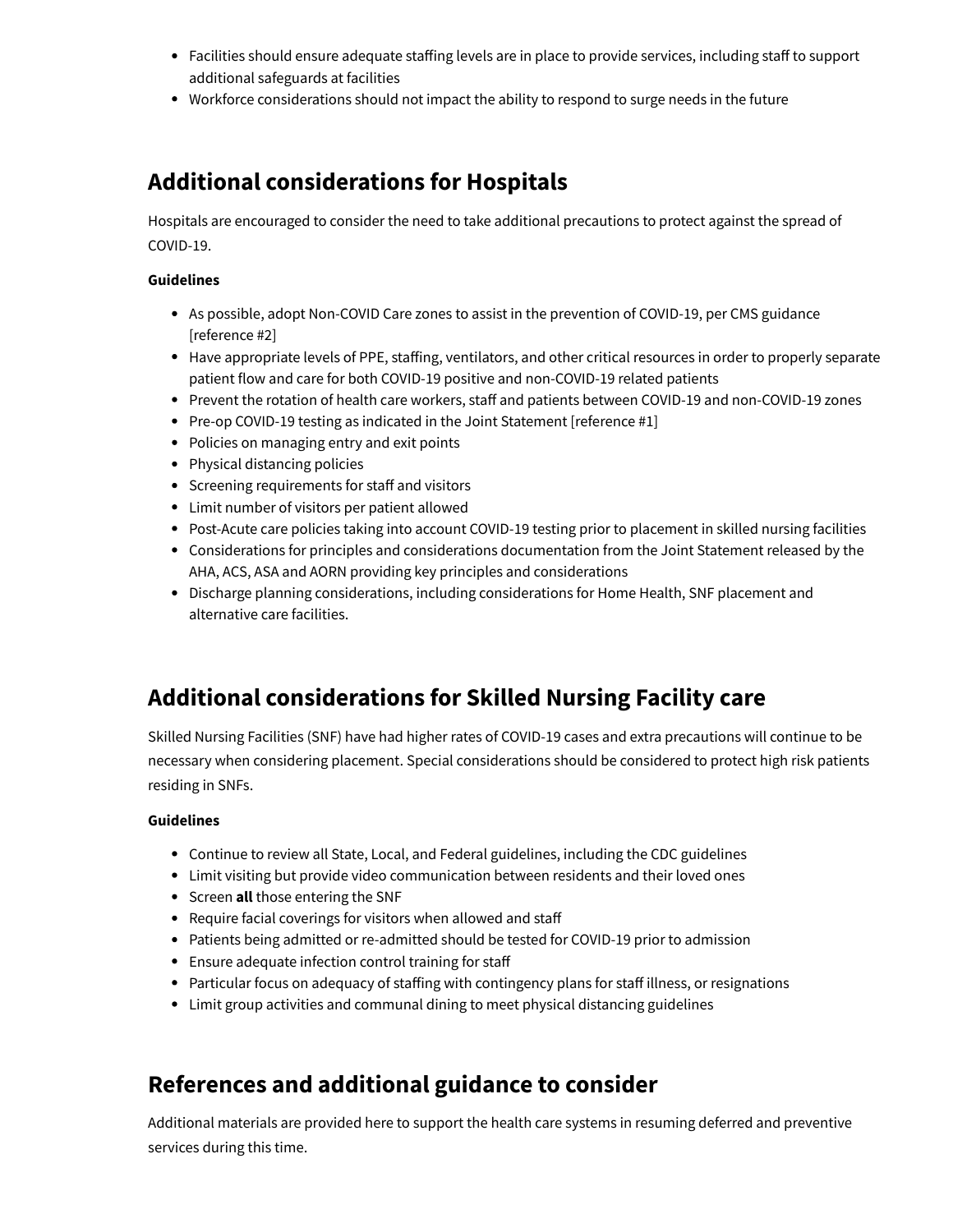- Facilities should ensure adequate staffing levels are in place to provide services, including staff to support additional safeguards at facilities
- Workforce considerations should not impact the ability to respond to surge needs in the future

### **Additional considerations for Hospitals**

Hospitals are encouraged to consider the need to take additional precautions to protect against the spread of COVID-19.

#### **Guidelines**

- As possible, adopt Non-COVID Care zones to assist in the prevention of COVID-19, per CMS guidance [reference #2]
- Have appropriate levels of PPE, staffing, ventilators, and other critical resources in order to properly separate patient flow and care for both COVID-19 positive and non-COVID-19 related patients
- Prevent the rotation of health care workers, staff and patients between COVID-19 and non-COVID-19 zones
- Pre-op COVID-19 testing as indicated in the Joint Statement [reference #1]
- Policies on managing entry and exit points
- Physical distancing policies
- Screening requirements for staff and visitors
- Limit number of visitors per patient allowed
- Post-Acute care policies taking into account COVID-19 testing prior to placement in skilled nursing facilities
- Considerations for principles and considerations documentation from the Joint Statement released by the AHA, ACS, ASA and AORN providing key principles and considerations
- Discharge planning considerations, including considerations for Home Health, SNF placement and alternative care facilities.

## **Additional considerations for Skilled Nursing Facility care**

Skilled Nursing Facilities (SNF) have had higher rates of COVID-19 cases and extra precautions will continue to be necessary when considering placement. Special considerations should be considered to protect high risk patients residing in SNFs.

### **Guidelines**

- Continue to review all State, Local, and Federal guidelines, including the CDC guidelines
- Limit visiting but provide video communication between residents and their loved ones
- **•** Screen **all** those entering the SNF
- Require facial coverings for visitors when allowed and staff
- Patients being admitted or re-admitted should be tested for COVID-19 prior to admission
- Ensure adequate infection control training for staff
- Particular focus on adequacy of staffing with contingency plans for staff illness, or resignations
- Limit group activities and communal dining to meet physical distancing guidelines

### **References and additional guidance to consider**

Additional materials are provided here to support the health care systems in resuming deferred and preventive services during this time.